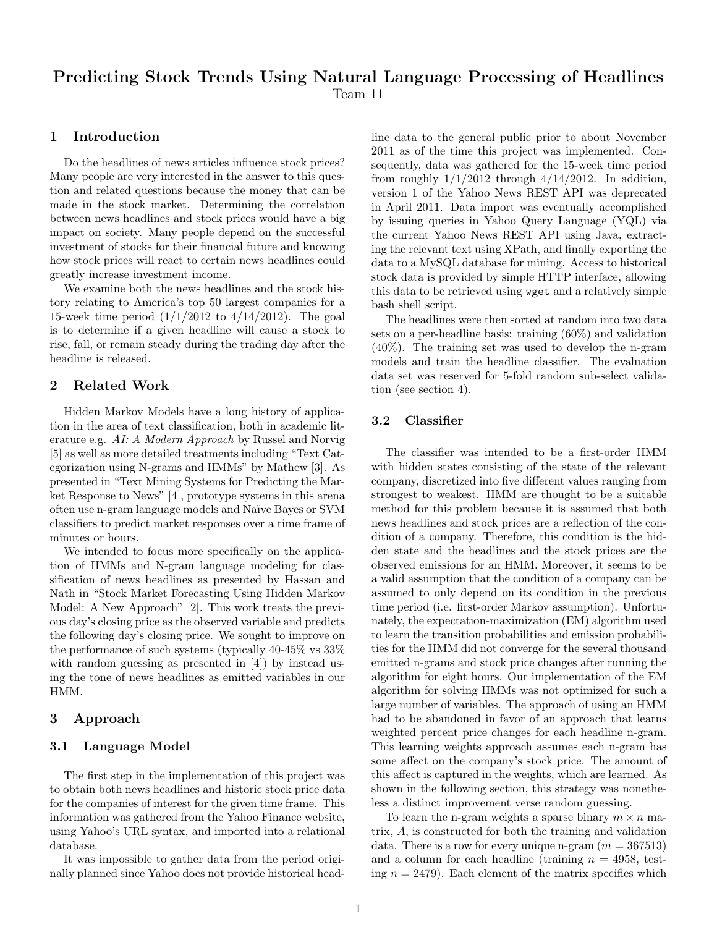# Predicting Stock Trends Using Natural Language Processing of Headlines Team 11

## 1 Introduction

Do the headlines of news articles influence stock prices? Many people are very interested in the answer to this question and related questions because the money that can be made in the stock market. Determining the correlation between news headlines and stock prices would have a big impact on society. Many people depend on the successful investment of stocks for their financial future and knowing how stock prices will react to certain news headlines could greatly increase investment income.

We examine both the news headlines and the stock history relating to America's top 50 largest companies for a 15-week time period  $(1/1/2012)$  to  $4/14/2012$ . The goal is to determine if a given headline will cause a stock to rise, fall, or remain steady during the trading day after the headline is released.

### 2 Related Work

Hidden Markov Models have a long history of application in the area of text classification, both in academic literature e.g. AI: A Modern Approach by Russel and Norvig [5] as well as more detailed treatments including "Text Categorization using N-grams and HMMs" by Mathew [3]. As presented in "Text Mining Systems for Predicting the Market Response to News" [4], prototype systems in this arena often use n-gram language models and Na¨ıve Bayes or SVM classifiers to predict market responses over a time frame of minutes or hours.

We intended to focus more specifically on the application of HMMs and N-gram language modeling for classification of news headlines as presented by Hassan and Nath in "Stock Market Forecasting Using Hidden Markov Model: A New Approach" [2]. This work treats the previous day's closing price as the observed variable and predicts the following day's closing price. We sought to improve on the performance of such systems (typically 40-45% vs 33% with random guessing as presented in [4]) by instead using the tone of news headlines as emitted variables in our HMM.

#### 3 Approach

#### 3.1 Language Model

The first step in the implementation of this project was to obtain both news headlines and historic stock price data for the companies of interest for the given time frame. This information was gathered from the Yahoo Finance website, using Yahoo's URL syntax, and imported into a relational database.

It was impossible to gather data from the period originally planned since Yahoo does not provide historical headline data to the general public prior to about November 2011 as of the time this project was implemented. Consequently, data was gathered for the 15-week time period from roughly  $1/1/2012$  through  $4/14/2012$ . In addition, version 1 of the Yahoo News REST API was deprecated in April 2011. Data import was eventually accomplished by issuing queries in Yahoo Query Language (YQL) via the current Yahoo News REST API using Java, extracting the relevant text using XPath, and finally exporting the data to a MySQL database for mining. Access to historical stock data is provided by simple HTTP interface, allowing this data to be retrieved using wget and a relatively simple bash shell script.

The headlines were then sorted at random into two data sets on a per-headline basis: training (60%) and validation (40%). The training set was used to develop the n-gram models and train the headline classifier. The evaluation data set was reserved for 5-fold random sub-select validation (see section 4).

### 3.2 Classifier

The classifier was intended to be a first-order HMM with hidden states consisting of the state of the relevant company, discretized into five different values ranging from strongest to weakest. HMM are thought to be a suitable method for this problem because it is assumed that both news headlines and stock prices are a reflection of the condition of a company. Therefore, this condition is the hidden state and the headlines and the stock prices are the observed emissions for an HMM. Moreover, it seems to be a valid assumption that the condition of a company can be assumed to only depend on its condition in the previous time period (i.e. first-order Markov assumption). Unfortunately, the expectation-maximization (EM) algorithm used to learn the transition probabilities and emission probabilities for the HMM did not converge for the several thousand emitted n-grams and stock price changes after running the algorithm for eight hours. Our implementation of the EM algorithm for solving HMMs was not optimized for such a large number of variables. The approach of using an HMM had to be abandoned in favor of an approach that learns weighted percent price changes for each headline n-gram. This learning weights approach assumes each n-gram has some affect on the company's stock price. The amount of this affect is captured in the weights, which are learned. As shown in the following section, this strategy was nonetheless a distinct improvement verse random guessing.

To learn the n-gram weights a sparse binary  $m \times n$  matrix, A, is constructed for both the training and validation data. There is a row for every unique n-gram  $(m = 367513)$ and a column for each headline (training  $n = 4958$ , testing  $n = 2479$ . Each element of the matrix specifies which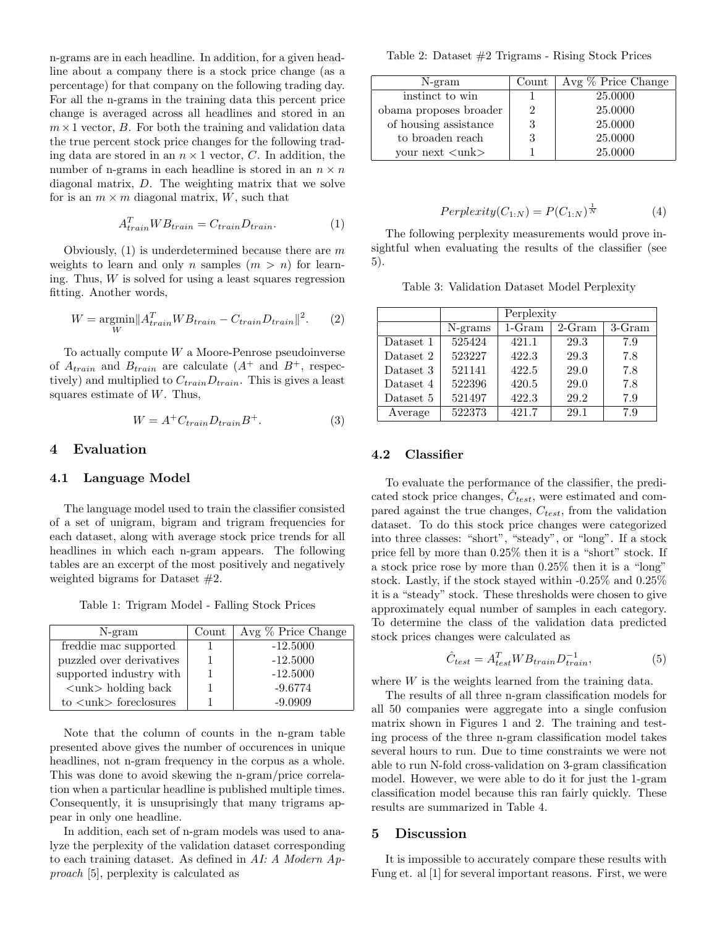n-grams are in each headline. In addition, for a given headline about a company there is a stock price change (as a percentage) for that company on the following trading day. For all the n-grams in the training data this percent price change is averaged across all headlines and stored in an  $m \times 1$  vector, B. For both the training and validation data the true percent stock price changes for the following trading data are stored in an  $n \times 1$  vector, C. In addition, the number of n-grams in each headline is stored in an  $n \times n$ diagonal matrix, D. The weighting matrix that we solve for is an  $m \times m$  diagonal matrix, W, such that

$$
A_{train}^T W B_{train} = C_{train} D_{train}.
$$
 (1)

Obviously,  $(1)$  is underdetermined because there are m weights to learn and only n samples  $(m > n)$  for learning. Thus,  $W$  is solved for using a least squares regression fitting. Another words,

$$
W = \underset{W}{\text{argmin}} \|A_{train}^T W B_{train} - C_{train} D_{train}\|^2. \tag{2}
$$

To actually compute  $W$  a Moore-Penrose pseudoinverse of  $A_{train}$  and  $B_{train}$  are calculate  $(A^+$  and  $B^+$ , respectively) and multiplied to  $C_{train}D_{train}$ . This is gives a least squares estimate of  $W$ . Thus,

$$
W = A^{+}C_{train}D_{train}B^{+}.
$$
 (3)

### 4 Evaluation

#### 4.1 Language Model

The language model used to train the classifier consisted of a set of unigram, bigram and trigram frequencies for each dataset, along with average stock price trends for all headlines in which each n-gram appears. The following tables are an excerpt of the most positively and negatively weighted bigrams for Dataset #2.

Table 1: Trigram Model - Falling Stock Prices

| $N-gram$                                  | Count | Avg $%$ Price Change |
|-------------------------------------------|-------|----------------------|
| freddie mac supported                     |       | $-12.5000$           |
| puzzled over derivatives                  |       | $-12.5000$           |
| supported industry with                   |       | $-12.5000$           |
| $\langle \text{unk} \rangle$ holding back |       | $-9.6774$            |
| $to$ $\langle$ unk $\rangle$ foreclosures |       | $-9.0909$            |

Note that the column of counts in the n-gram table presented above gives the number of occurences in unique headlines, not n-gram frequency in the corpus as a whole. This was done to avoid skewing the n-gram/price correlation when a particular headline is published multiple times. Consequently, it is unsuprisingly that many trigrams appear in only one headline.

In addition, each set of n-gram models was used to analyze the perplexity of the validation dataset corresponding to each training dataset. As defined in AI: A Modern Approach [5], perplexity is calculated as

Table 2: Dataset #2 Trigrams - Rising Stock Prices

| N-gram                                 | Count | Avg $%$ Price Change |
|----------------------------------------|-------|----------------------|
| instinct to win                        |       | 25.0000              |
| obama proposes broader                 |       | 25.0000              |
| of housing assistance                  |       | 25.0000              |
| to broaden reach                       |       | 25,0000              |
| vour next $\langle \text{unk} \rangle$ |       | 25.0000              |

$$
Perplexity(C_{1:N}) = P(C_{1:N})^{\frac{1}{N}}
$$
\n<sup>(4)</sup>

The following perplexity measurements would prove insightful when evaluating the results of the classifier (see 5).

Table 3: Validation Dataset Model Perplexity

|           |         | Perplexity |           |            |
|-----------|---------|------------|-----------|------------|
|           | N-grams | $1$ -Gram  | $2$ -Gram | $3 - Gram$ |
| Dataset 1 | 525424  | 421.1      | 29.3      | 7.9        |
| Dataset 2 | 523227  | 422.3      | 29.3      | 7.8        |
| Dataset 3 | 521141  | 422.5      | 29.0      | 7.8        |
| Dataset 4 | 522396  | 420.5      | 29.0      | 7.8        |
| Dataset 5 | 521497  | 422.3      | 29.2      | 7.9        |
| Average   | 522373  | 421.7      | 29.1      | 7.9        |

#### 4.2 Classifier

To evaluate the performance of the classifier, the predicated stock price changes,  $\hat{C}_{test}$ , were estimated and compared against the true changes,  $C_{test}$ , from the validation dataset. To do this stock price changes were categorized into three classes: "short", "steady", or "long". If a stock price fell by more than 0.25% then it is a "short" stock. If a stock price rose by more than 0.25% then it is a "long" stock. Lastly, if the stock stayed within -0.25% and 0.25% it is a "steady" stock. These thresholds were chosen to give approximately equal number of samples in each category. To determine the class of the validation data predicted stock prices changes were calculated as

$$
\hat{C}_{test} = A_{test}^T W B_{train} D_{train}^{-1},\tag{5}
$$

where  $W$  is the weights learned from the training data.

The results of all three n-gram classification models for all 50 companies were aggregate into a single confusion matrix shown in Figures 1 and 2. The training and testing process of the three n-gram classification model takes several hours to run. Due to time constraints we were not able to run N-fold cross-validation on 3-gram classification model. However, we were able to do it for just the 1-gram classification model because this ran fairly quickly. These results are summarized in Table 4.

#### 5 Discussion

It is impossible to accurately compare these results with Fung et. al [1] for several important reasons. First, we were